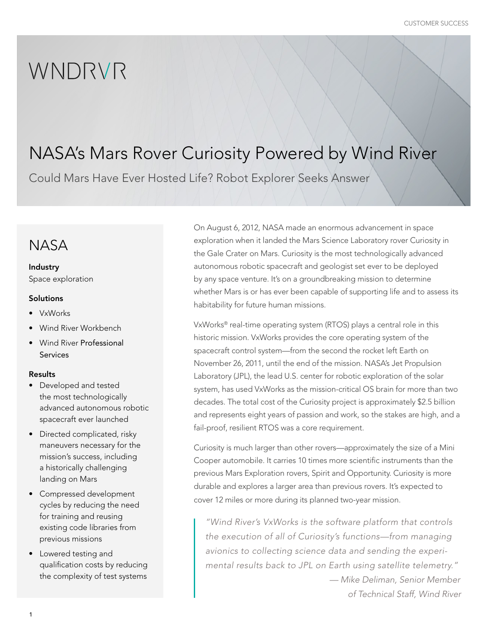# WNDRVR

## NASA's Mars Rover Curiosity Powered by Wind River

Could Mars Have Ever Hosted Life? Robot Explorer Seeks Answer

## **NASA**

#### Industry

Space exploration

#### **Solutions**

- VxWorks
- Wind River Workbench
- Wind River Professional Services

#### Results

- Developed and tested the most technologically advanced autonomous robotic spacecraft ever launched
- Directed complicated, risky maneuvers necessary for the mission's success, including a historically challenging landing on Mars
- Compressed development cycles by reducing the need for training and reusing existing code libraries from previous missions
- Lowered testing and qualification costs by reducing the complexity of test systems

On August 6, 2012, NASA made an enormous advancement in space exploration when it landed the Mars Science Laboratory rover Curiosity in the Gale Crater on Mars. Curiosity is the most technologically advanced autonomous robotic spacecraft and geologist set ever to be deployed by any space venture. It's on a groundbreaking mission to determine whether Mars is or has ever been capable of supporting life and to assess its habitability for future human missions.

VxWorks® real-time operating system (RTOS) plays a central role in this historic mission. VxWorks provides the core operating system of the spacecraft control system—from the second the rocket left Earth on November 26, 2011, until the end of the mission. NASA's Jet Propulsion Laboratory (JPL), the lead U.S. center for robotic exploration of the solar system, has used VxWorks as the mission-critical OS brain for more than two decades. The total cost of the Curiosity project is approximately \$2.5 billion and represents eight years of passion and work, so the stakes are high, and a fail-proof, resilient RTOS was a core requirement.

Curiosity is much larger than other rovers—approximately the size of a Mini Cooper automobile. It carries 10 times more scientific instruments than the previous Mars Exploration rovers, Spirit and Opportunity. Curiosity is more durable and explores a larger area than previous rovers. It's expected to cover 12 miles or more during its planned two-year mission.

*"Wind River's VxWorks is the software platform that controls the execution of all of Curiosity's functions—from managing avionics to collecting science data and sending the experimental results back to JPL on Earth using satellite telemetry." — Mike Deliman, Senior Member*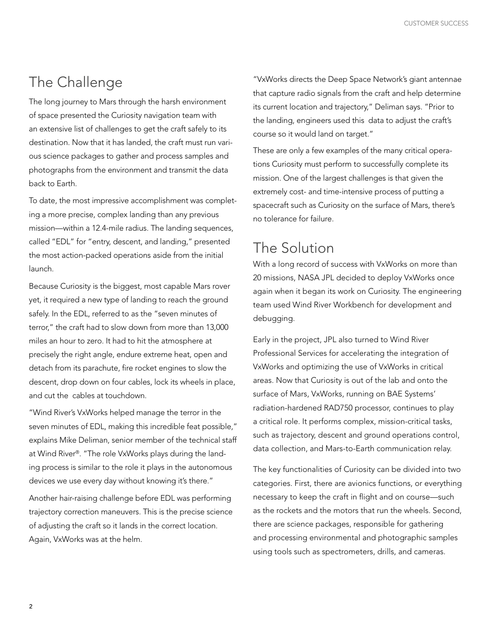### The Challenge

The long journey to Mars through the harsh environment of space presented the Curiosity navigation team with an extensive list of challenges to get the craft safely to its destination. Now that it has landed, the craft must run various science packages to gather and process samples and photographs from the environment and transmit the data back to Earth.

To date, the most impressive accomplishment was completing a more precise, complex landing than any previous mission—within a 12.4-mile radius. The landing sequences, called "EDL" for "entry, descent, and landing," presented the most action-packed operations aside from the initial launch.

Because Curiosity is the biggest, most capable Mars rover yet, it required a new type of landing to reach the ground safely. In the EDL, referred to as the "seven minutes of terror," the craft had to slow down from more than 13,000 miles an hour to zero. It had to hit the atmosphere at precisely the right angle, endure extreme heat, open and detach from its parachute, fire rocket engines to slow the descent, drop down on four cables, lock its wheels in place, and cut the cables at touchdown.

"Wind River's VxWorks helped manage the terror in the seven minutes of EDL, making this incredible feat possible," explains Mike Deliman, senior member of the technical staff at Wind River®. "The role VxWorks plays during the landing process is similar to the role it plays in the autonomous devices we use every day without knowing it's there."

Another hair-raising challenge before EDL was performing trajectory correction maneuvers. This is the precise science of adjusting the craft so it lands in the correct location. Again, VxWorks was at the helm.

"VxWorks directs the Deep Space Network's giant antennae that capture radio signals from the craft and help determine its current location and trajectory," Deliman says. "Prior to the landing, engineers used this data to adjust the craft's course so it would land on target."

These are only a few examples of the many critical operations Curiosity must perform to successfully complete its mission. One of the largest challenges is that given the extremely cost- and time-intensive process of putting a spacecraft such as Curiosity on the surface of Mars, there's no tolerance for failure.

#### The Solution

With a long record of success with VxWorks on more than 20 missions, NASA JPL decided to deploy VxWorks once again when it began its work on Curiosity. The engineering team used Wind River Workbench for development and debugging.

Early in the project, JPL also turned to Wind River Professional Services for accelerating the integration of VxWorks and optimizing the use of VxWorks in critical areas. Now that Curiosity is out of the lab and onto the surface of Mars, VxWorks, running on BAE Systems' radiation-hardened RAD750 processor, continues to play a critical role. It performs complex, mission-critical tasks, such as trajectory, descent and ground operations control, data collection, and Mars-to-Earth communication relay.

The key functionalities of Curiosity can be divided into two categories. First, there are avionics functions, or everything necessary to keep the craft in flight and on course—such as the rockets and the motors that run the wheels. Second, there are science packages, responsible for gathering and processing environmental and photographic samples using tools such as spectrometers, drills, and cameras.